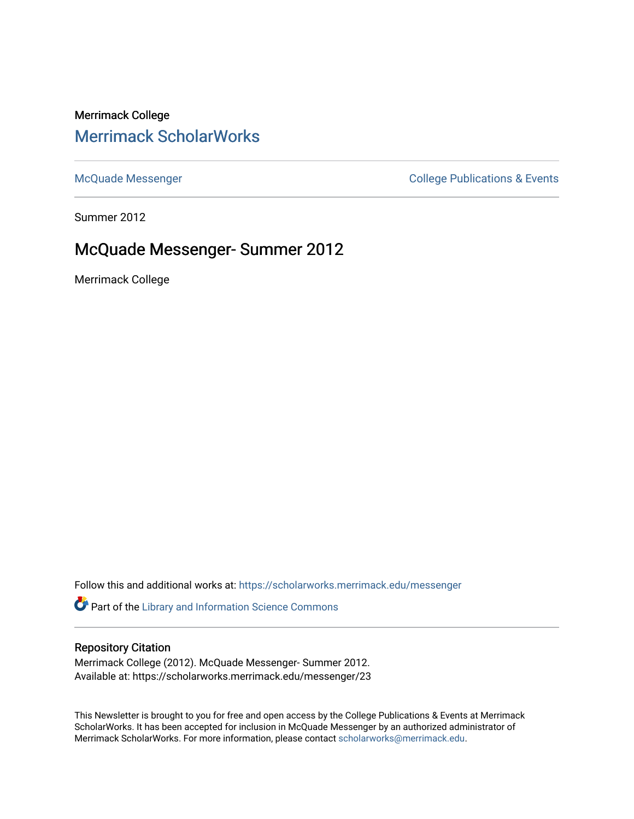# Merrimack College [Merrimack ScholarWorks](https://scholarworks.merrimack.edu/)

[McQuade Messenger](https://scholarworks.merrimack.edu/messenger) College Publications & Events

Summer 2012

## McQuade Messenger- Summer 2012

Merrimack College

Follow this and additional works at: [https://scholarworks.merrimack.edu/messenger](https://scholarworks.merrimack.edu/messenger?utm_source=scholarworks.merrimack.edu%2Fmessenger%2F23&utm_medium=PDF&utm_campaign=PDFCoverPages) 

Part of the [Library and Information Science Commons](http://network.bepress.com/hgg/discipline/1018?utm_source=scholarworks.merrimack.edu%2Fmessenger%2F23&utm_medium=PDF&utm_campaign=PDFCoverPages) 

## Repository Citation

Merrimack College (2012). McQuade Messenger- Summer 2012. Available at: https://scholarworks.merrimack.edu/messenger/23

This Newsletter is brought to you for free and open access by the College Publications & Events at Merrimack ScholarWorks. It has been accepted for inclusion in McQuade Messenger by an authorized administrator of Merrimack ScholarWorks. For more information, please contact [scholarworks@merrimack.edu](mailto:scholarworks@merrimack.edu).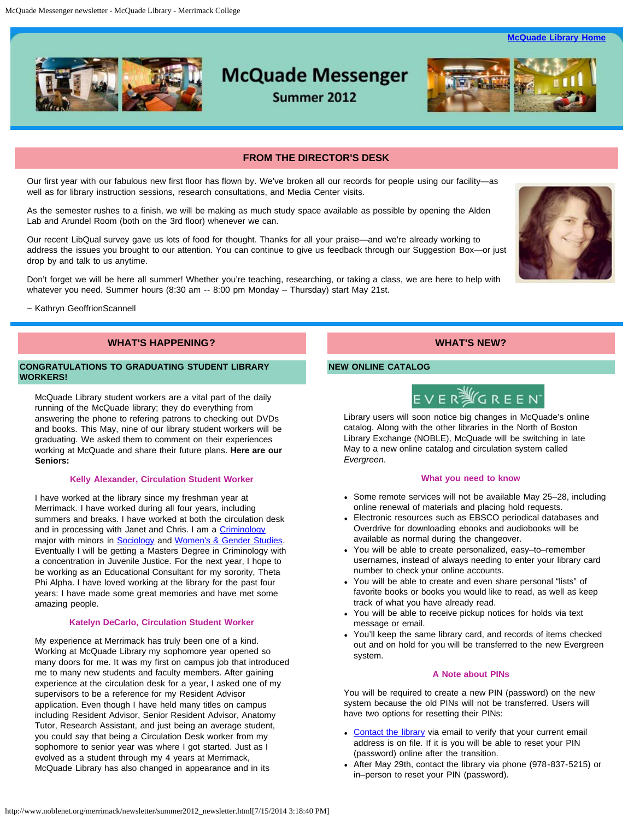**[McQuade Library Home](http://www.noblenet.org/merrimack/)** 



# **McQuade Messenger**

Summer 2012



#### **FROM THE DIRECTOR'S DESK**

<span id="page-1-0"></span>Our first year with our fabulous new first floor has flown by. We've broken all our records for people using our facility—as well as for library instruction sessions, research consultations, and Media Center visits.

As the semester rushes to a finish, we will be making as much study space available as possible by opening the Alden Lab and Arundel Room (both on the 3rd floor) whenever we can.

Our recent LibQual survey gave us lots of food for thought. Thanks for all your praise—and we're already working to address the issues you brought to our attention. You can continue to give us feedback through our Suggestion Box—or just drop by and talk to us anytime.

Don't forget we will be here all summer! Whether you're teaching, researching, or taking a class, we are here to help with whatever you need. Summer hours (8:30 am -- 8:00 pm Monday – Thursday) start May 21st.

~ Kathryn GeoffrionScannell

### **WHAT'S HAPPENING?**

#### **CONGRATULATIONS TO GRADUATING STUDENT LIBRARY WORKERS!**

McQuade Library student workers are a vital part of the daily running of the McQuade library; they do everything from answering the phone to refering patrons to checking out DVDs and books. This May, nine of our library student workers will be graduating. We asked them to comment on their experiences working at McQuade and share their future plans. **Here are our Seniors:**

#### **Kelly Alexander, Circulation Student Worker**

I have worked at the library since my freshman year at Merrimack. I have worked during all four years, including summers and breaks. I have worked at both the circulation desk and in processing with Janet and Chris. I am a [Criminology](http://www.merrimack.edu/academics/liberal_arts/sociology/major_requirements/requirementsfora_majorin_criminology.php) major with minors in **Sociology** and **[Women's & Gender Studies](http://www.merrimack.edu/academics/liberal_arts/womens_gender_studies/minor_requirements/)**. Eventually I will be getting a Masters Degree in Criminology with a concentration in Juvenile Justice. For the next year, I hope to be working as an Educational Consultant for my sorority, Theta Phi Alpha. I have loved working at the library for the past four years: I have made some great memories and have met some amazing people.

#### **Katelyn DeCarlo, Circulation Student Worker**

My experience at Merrimack has truly been one of a kind. Working at McQuade Library my sophomore year opened so many doors for me. It was my first on campus job that introduced me to many new students and faculty members. After gaining experience at the circulation desk for a year, I asked one of my supervisors to be a reference for my Resident Advisor application. Even though I have held many titles on campus including Resident Advisor, Senior Resident Advisor, Anatomy Tutor, Research Assistant, and just being an average student, you could say that being a Circulation Desk worker from my sophomore to senior year was where I got started. Just as I evolved as a student through my 4 years at Merrimack, McQuade Library has also changed in appearance and in its

**WHAT'S NEW?**

#### **NEW ONLINE CATALOG**



Library users will soon notice big changes in McQuade's online catalog. Along with the other libraries in the North of Boston Library Exchange (NOBLE), McQuade will be switching in late May to a new online catalog and circulation system called *Evergreen*.

#### **What you need to know**

- Some remote services will not be available May 25-28, including online renewal of materials and placing hold requests.
- Electronic resources such as EBSCO periodical databases and Overdrive for downloading ebooks and audiobooks will be available as normal during the changeover.
- You will be able to create personalized, easy–to–remember usernames, instead of always needing to enter your library card number to check your online accounts.
- You will be able to create and even share personal "lists" of favorite books or books you would like to read, as well as keep track of what you have already read.
- You will be able to receive pickup notices for holds via text message or email.
- You'll keep the same library card, and records of items checked out and on hold for you will be transferred to the new Evergreen system.

#### **A Note about PINs**

You will be required to create a new PIN (password) on the new system because the old PINs will not be transferred. Users will have two options for resetting their PINs:

- [Contact the library](mailto:merref@noblenet.org) via email to verify that your current email address is on file. If it is you will be able to reset your PIN (password) online after the transition.
- After May 29th, contact the library via phone (978-837-5215) or in–person to reset your PIN (password).

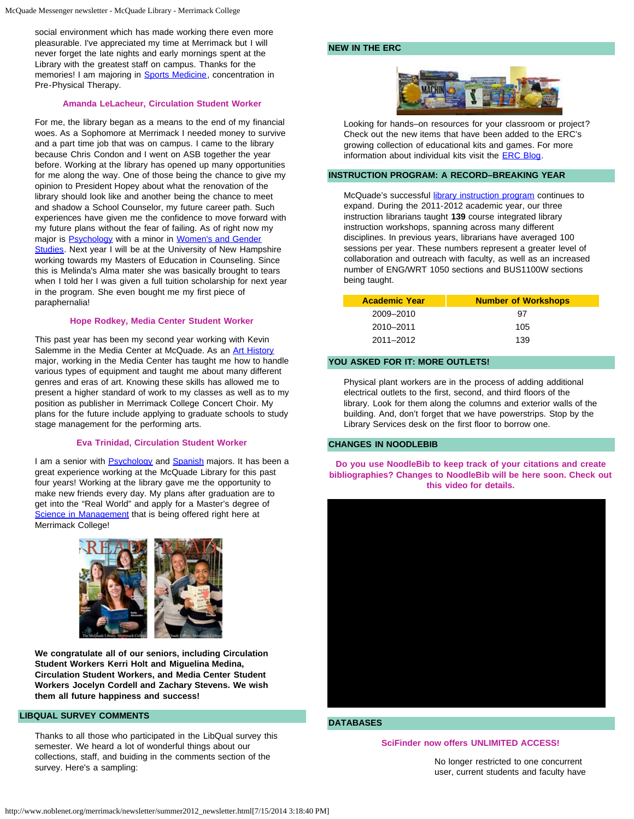social environment which has made working there even more pleasurable. I've appreciated my time at Merrimack but I will never forget the late nights and early mornings spent at the Library with the greatest staff on campus. Thanks for the memories! I am majoring in [Sports Medicine](http://www.merrimack.edu/academics/science_engineering/health_sciences/degree_programs/sports_medicine/), concentration in Pre-Physical Therapy.

#### **Amanda LeLacheur, Circulation Student Worker**

For me, the library began as a means to the end of my financial woes. As a Sophomore at Merrimack I needed money to survive and a part time job that was on campus. I came to the library because Chris Condon and I went on ASB together the year before. Working at the library has opened up many opportunities for me along the way. One of those being the chance to give my opinion to President Hopey about what the renovation of the library should look like and another being the chance to meet and shadow a School Counselor, my future career path. Such experiences have given me the confidence to move forward with my future plans without the fear of failing. As of right now my major is [Psychology](http://www.merrimack.edu/academics/liberal_arts/psychology/) with a minor in [Women's and Gender](http://www.merrimack.edu/academics/liberal_arts/womens_gender_studies/minor_requirements/) [Studies.](http://www.merrimack.edu/academics/liberal_arts/womens_gender_studies/minor_requirements/) Next year I will be at the University of New Hampshire working towards my Masters of Education in Counseling. Since this is Melinda's Alma mater she was basically brought to tears when I told her I was given a full tuition scholarship for next year in the program. She even bought me my first piece of paraphernalia!

#### **Hope Rodkey, Media Center Student Worker**

This past year has been my second year working with Kevin Salemme in the Media Center at McQuade. As an **[Art History](http://www.merrimack.edu/academics/liberal_arts/visualandperformingarts/)** major, working in the Media Center has taught me how to handle various types of equipment and taught me about many different genres and eras of art. Knowing these skills has allowed me to present a higher standard of work to my classes as well as to my position as publisher in Merrimack College Concert Choir. My plans for the future include applying to graduate schools to study stage management for the performing arts.

#### **Eva Trinidad, Circulation Student Worker**

I am a senior with **Psychology** and **[Spanish](http://www.merrimack.edu/academics/liberal_arts/world_languages/major_requirements.php#spanish)** majors. It has been a great experience working at the McQuade Library for this past four years! Working at the library gave me the opportunity to make new friends every day. My plans after graduation are to get into the "Real World" and apply for a Master's degree of [Science in Management](http://www.merrimack.edu/academics/business/graduate/msm/) that is being offered right here at Merrimack College!





**We congratulate all of our seniors, including Circulation Student Workers Kerri Holt and Miguelina Medina, Circulation Student Workers, and Media Center Student Workers Jocelyn Cordell and Zachary Stevens. We wish them all future happiness and success!**

#### **LIBQUAL SURVEY COMMENTS**

Thanks to all those who participated in the LibQual survey this semester. We heard a lot of wonderful things about our collections, staff, and buiding in the comments section of the survey. Here's a sampling:

#### **NEW IN THE ERC**



Looking for hands–on resources for your classroom or project? Check out the new items that have been added to the ERC's growing collection of educational kits and games. For more information about individual kits visit the [ERC Blog.](http://server1.noblenet.org/merrimack/blog2/)

#### **INSTRUCTION PROGRAM: A RECORD–BREAKING YEAR**

McQuade's successful *library instruction program* continues to expand. During the 2011-2012 academic year, our three instruction librarians taught **139** course integrated library instruction workshops, spanning across many different disciplines. In previous years, librarians have averaged 100 sessions per year. These numbers represent a greater level of collaboration and outreach with faculty, as well as an increased number of ENG/WRT 1050 sections and BUS1100W sections being taught.

| <b>Academic Year</b> | <b>Number of Workshops</b> |
|----------------------|----------------------------|
| 2009-2010            | 97                         |
| 2010–2011            | 105                        |
| 2011-2012            | 139                        |

#### **YOU ASKED FOR IT: MORE OUTLETS!**

Physical plant workers are in the process of adding additional electrical outlets to the first, second, and third floors of the library. Look for them along the columns and exterior walls of the building. And, don't forget that we have powerstrips. Stop by the Library Services desk on the first floor to borrow one.

#### **CHANGES IN NOODLEBIB**

**Do you use NoodleBib to keep track of your citations and create bibliographies? Changes to NoodleBib will be here soon. Check out this video for details.**



#### **DATABASES**

#### **SciFinder now offers UNLIMITED ACCESS!**

No longer restricted to one concurrent user, current students and faculty have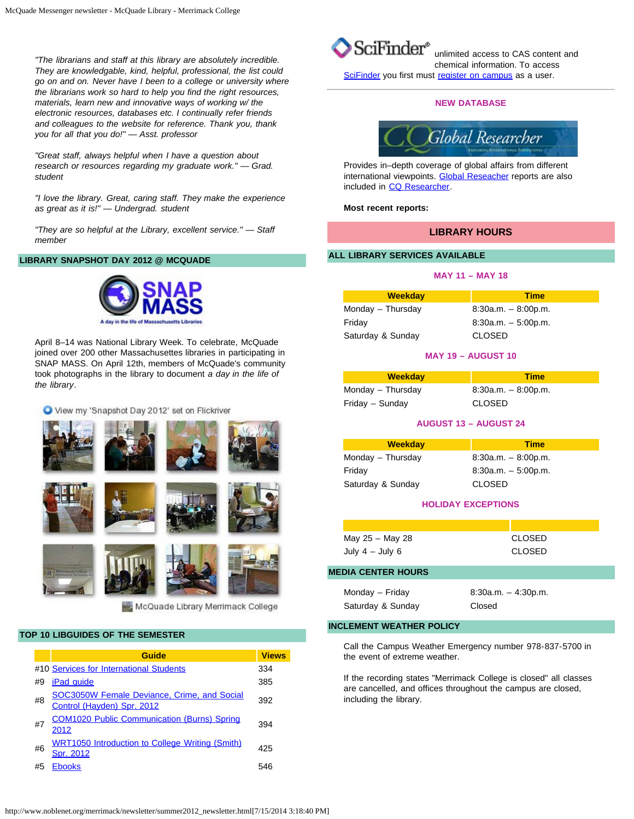*"The librarians and staff at this library are absolutely incredible. They are knowledgable, kind, helpful, professional, the list could go on and on. Never have I been to a college or university where the librarians work so hard to help you find the right resources, materials, learn new and innovative ways of working w/ the electronic resources, databases etc. I continually refer friends and colleagues to the website for reference. Thank you, thank you for all that you do!" — Asst. professor* 

*"Great staff, always helpful when I have a question about research or resources regarding my graduate work." — Grad. student*

*"I love the library. Great, caring staff. They make the experience as great as it is!" — Undergrad. student*

*"They are so helpful at the Library, excellent service." — Staff member*

#### **LIBRARY SNAPSHOT DAY 2012 @ MCQUADE**



April 8–14 was National Library Week. To celebrate, McQuade joined over 200 other Massachusettes libraries in participating in SNAP MASS. On April 12th, members of McQuade's community took photographs in the library to document *a day in the life of the library*.

View my 'Snapshot Day 2012' set on Flickriver



#### **TOP 10 LIBGUIDES OF THE SEMESTER**

|    | Guide                                                                            | <b>Views</b> |
|----|----------------------------------------------------------------------------------|--------------|
|    | #10 Services for International Students                                          | 334          |
| #9 | <b>iPad quide</b>                                                                | 385          |
| #8 | <b>SOC3050W Female Deviance, Crime, and Social</b><br>Control (Hayden) Spr. 2012 | 392          |
| #7 | <b>COM1020 Public Communication (Burns) Spring</b><br>2012                       | 394          |
| #6 | <b>WRT1050 Introduction to College Writing (Smith)</b><br>Spr. 2012              | 425          |
| #5 | <b>Ebooks</b>                                                                    | 546          |



unlimited access to CAS content and chemical information. To access [SciFinder](http://proxy3.noblenet.org/login?url=https://scifinder.cas.org/) you first must [register on campus](http://proxy3.noblenet.org/login?url=https://scifinder.cas.org/registration/index.html?corpKey=9F0BF480X86F350ABX11BF88DC1E61866DBC) as a user.

#### **NEW DATABASE**



Provides in–depth coverage of global affairs from different international viewpoints. [Global Reseacher](http://proxy3.noblenet.org/login?url=http://library.cqpress.com/globalresearcher) reports are also included in [CQ Researcher.](http://proxy3.noblenet.org/login?url=http://library.cqpress.com/cqresearcher)

#### **Most recent reports:**

#### **LIBRARY HOURS**

#### **ALL LIBRARY SERVICES AVAILABLE**

#### **MAY 11 – MAY 18**

| <b>Weekday</b>    | <b>Time</b>           |
|-------------------|-----------------------|
| Monday - Thursday | $8:30a.m. - 8:00p.m.$ |
| Friday            | $8:30a.m. - 5:00p.m.$ |
| Saturday & Sunday | <b>CLOSED</b>         |

#### **MAY 19 – AUGUST 10**

| <b>Weekday</b>    | <b>Time</b>           |
|-------------------|-----------------------|
| Monday - Thursday | $8:30a.m. - 8:00p.m.$ |
| Friday - Sunday   | <b>CLOSED</b>         |

#### **AUGUST 13 – AUGUST 24**

| <b>Time</b>           |
|-----------------------|
| $8:30a.m. - 8:00p.m.$ |
| $8:30a.m. - 5:00p.m.$ |
| <b>CLOSED</b>         |
|                       |

#### **HOLIDAY EXCEPTIONS**

| May 25 - May 28   | CLOSED |
|-------------------|--------|
| July $4 -$ July 6 | CLOSED |

#### **MEDIA CENTER HOURS**

| Monday - Friday   | $8:30a.m. - 4:30p.m.$ |
|-------------------|-----------------------|
| Saturday & Sunday | Closed                |

## **INCLEMENT WEATHER POLICY**

Call the Campus Weather Emergency number 978-837-5700 in the event of extreme weather.

If the recording states "Merrimack College is closed" all classes are cancelled, and offices throughout the campus are closed, including the library.